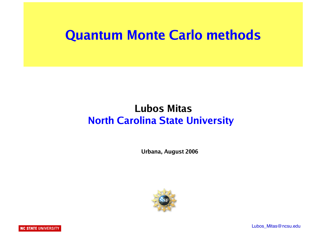#### **Quantum Monte Carlo methods**

#### **Lubos Mitas North Carolina State University**

 **Urbana, August 2006**

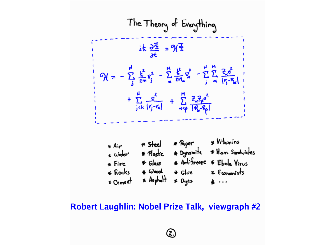The Theory of Everything  
\n
$$
ik \frac{\partial \overline{A}}{\partial t} = \mathcal{H}\overline{A}
$$
\n
$$
\mathcal{H} = -\sum_{j} \frac{k^{2}}{2m} \overline{v}_{j}^{2} - \sum_{\alpha} \frac{k^{2}}{2m} \overline{v}_{\alpha}^{2} - \sum_{j} \frac{N}{\alpha} \frac{R_{\alpha}^{2}}{|\overline{r}_{j}-\overline{r}_{\alpha}|} + \sum_{j} \frac{R_{\alpha}^{2}}{2m} \overline{v}_{\alpha}^{2} - \sum_{j} \frac{R_{\alpha}^{2}}{2m} \overline{r}_{j}^{2} - \sum_{j} \frac{R_{\alpha}^{2}}{2m} \overline{r}_{j}^{2} - \sum_{j} \frac{R_{\alpha}^{2}}{2m} \overline{r}_{j}^{2} - \sum_{j} \frac{R_{\alpha}^{2}}{2m} \overline{r}_{j}^{2} - \sum_{j} \frac{R_{\alpha}^{2}}{2m} \overline{r}_{j}^{2} - \sum_{j} \frac{R_{\alpha}^{2}}{2m} \overline{r}_{j}^{2} - \sum_{j} \frac{R_{\alpha}^{2}}{2m} \overline{r}_{j}^{2} - \sum_{j} \frac{R_{\alpha}^{2}}{2m} \overline{r}_{j}^{2} - \sum_{j} \frac{R_{\alpha}^{2}}{2m} \overline{r}_{j}^{2} - \sum_{j} \frac{R_{\alpha}^{2}}{2m} \overline{r}_{j}^{2} - \sum_{j} \frac{R_{\alpha}^{2}}{2m} \overline{r}_{j}^{2} - \sum_{j} \frac{R_{\alpha}^{2}}{2m} \overline{r}_{j}^{2} - \sum_{j} \frac{R_{\alpha}^{2}}{2m} \overline{r}_{j}^{2} - \sum_{j} \frac{R_{\alpha}^{2}}{2m} \overline{r}_{j}^{2} - \sum_{j} \frac{R_{\alpha}^{2}}{2m} \overline{r}_{j}^{2} - \sum_{j} \frac{R_{\alpha}^{2}}{2m} \overline{r}_{j}^{2} - \sum_{j} \frac{R_{\alpha}^{2}}{2m} \overline{r}_{j}^{2} - \sum_{j} \frac{R_{\alpha}^{2}}{2m} \overline{r}_{j}^{2} -
$$

**2006** - Nok  **Robert Laughlin: Nobel Prize Talk, viewgraph #2**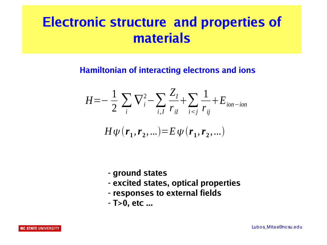## **Electronic structure and properties of materials**

#### **Hamiltonian of interacting electrons and ions**

$$
H = -\frac{1}{2} \sum_{i} \nabla_{i}^{2} - \sum_{i, I} \frac{Z_{I}}{r_{iI}} + \sum_{i < j} \frac{1}{r_{ij}} + E_{ion-ion}
$$

$$
H\psi(r_1,r_2,...)\!\!=\!E\psi(r_1,r_2,...)
$$

- **ground states**
- **excited states, optical properties**
- **responses to external fields**
- **T>0, etc ...**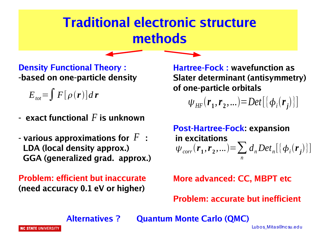#### **Traditional electronic structure methods**

**Density Functional Theory : -based on one-particle density**

 $E_{\textit{tot}} = \int F[\rho(\mathbf{r})] d\mathbf{r}$ 

- $\,$  exact functional  $F$  is unknown
- various approximations for  $\,F\,$  : **LDA (local density approx.) GGA (generalized grad. approx.)**

**Problem: efficient but inaccurate (need accuracy 0.1 eV or higher)**

 **Hartree-Fock : wavefunction as Slater determinant (antisymmetry) of one-particle orbitals**

 $\Psi_{HF}$   $(\mathbf{r}_1, \mathbf{r}_2, ...) = Det[\{\phi_i(\mathbf{r}_j)\}]$ 

 **Post-Hartree-Fock: expansion in excitations**  $\psi_{corr}(\mathbf{r}_1, \mathbf{r}_2, \ldots) = \sum d_n Det_n[\{\phi_i(\mathbf{r}_j)\}]$ *n*

 **More advanced: CC, MBPT etc**

 **Problem: accurate but inefficient**

 **Alternatives ? Quantum Monte Carlo (QMC)**

Lubos\_Mitas@nc su.edu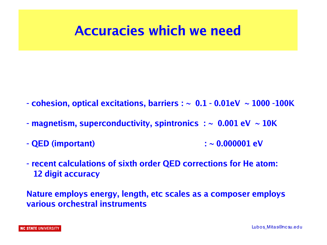#### **Accuracies which we need**

- **cohesion, optical excitations, barriers : ~ 0.1 0.01eV ~ 1000 -100K**
- **magnetism, superconductivity, spintronics : ~ 0.001 eV ~ 10K**
- **QED (important) : ~ 0.000001 eV**
- **recent calculations of sixth order QED corrections for He atom: 12 digit accuracy**

**Nature employs energy, length, etc scales as a composer employs various orchestral instruments**

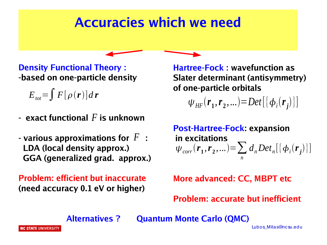#### **Accuracies which we need**

**Density Functional Theory : -based on one-particle density**

 $E_{\textit{tot}} = \int F[\rho(\mathbf{r})] d\mathbf{r}$ 

- $\,$  exact functional  $F$  is unknown
- various approximations for  $\,F\,$  : **LDA (local density approx.) GGA (generalized grad. approx.)**

**Problem: efficient but inaccurate (need accuracy 0.1 eV or higher)**

 **Hartree-Fock : wavefunction as Slater determinant (antisymmetry) of one-particle orbitals**

 $\Psi_{HF}$   $(\mathbf{r}_1, \mathbf{r}_2, ...) = Det[\{\phi_i(\mathbf{r}_j)\}]$ 

 **Post-Hartree-Fock: expansion in excitations**  $\psi_{corr}(\mathbf{r}_1, \mathbf{r}_2, \ldots) = \sum d_n Det_n[\{\phi_i(\mathbf{r}_j)\}]$ *n*

 **More advanced: CC, MBPT etc**

 **Problem: accurate but inefficient**

 **Alternatives ? Quantum Monte Carlo (QMC)**

NC STATE UNIVERSIT

Lubos\_Mitas@nc su.edu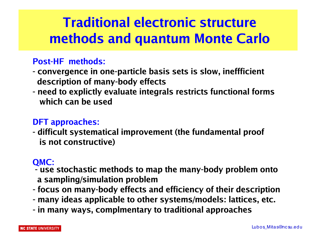### **Traditional electronic structure methods and quantum Monte Carlo**

#### **Post-HF methods:**

- **convergence in one-particle basis sets is slow, ineffficient description of many-body effects**
- **need to explictly evaluate integrals restricts functional forms which can be used**

#### **DFT approaches:**

**- difficult systematical improvement (the fundamental proof is not constructive)**

#### **QMC:**

- **use stochastic methods to map the many-body problem onto a sampling/simulation problem**
- **focus on many-body effects and efficiency of their description**
- **many ideas applicable to other systems/models: lattices, etc.**
- **in many ways, complmentary to traditional approaches**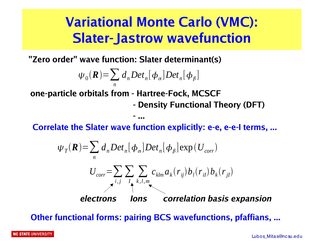### **Variational Monte Carlo (VMC): Slater-Jastrow wavefunction**

**"Zero order" wave function: Slater determinant(s)**

$$
\psi_0(\mathbf{R}) = \sum_n d_n Det_n[\phi_\alpha] Det_n[\phi_\beta]
$$

**one-particle orbitals from - Hartree-Fock, MCSCF**

 *- ...*  $\sim$  ...  $\sim$  ...  $\sim$  ...  $\sim$  ...

 **- Density Functional Theory (DFT)**

**Correlate the Slater wave function explicitly: e-e, e-e-I terms, ...**

$$
\psi_{T}(\boldsymbol{R}) = \sum_{n} d_{n} Det_{n}[\phi_{\alpha}] Det_{n}[\phi_{\beta}] exp(U_{corr})
$$
\n
$$
U_{corr} = \sum_{i,j} \sum_{l} \sum_{k,l,m} c_{klm} a_{k}(r_{ij}) b_{l}(r_{il}) b_{k}(r_{jl})
$$
\nelectrons long correlation basis expansion

**Other functional forms: pairing BCS wavefunctions, pfaffians, ...**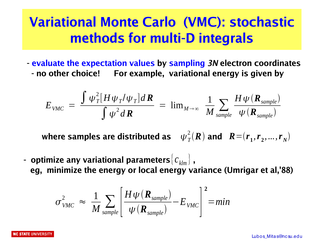### **Variational Monte Carlo (VMC): stochastic methods for multi-D integrals**

**- evaluate the expectation values by sampling 3N electron coordinates - no other choice! For example, variational energy is given by**

$$
E_{VMC} = \frac{\int \psi_T^2 [H \psi_T / \psi_T] dR}{\int \psi^2 dR} = \lim_{M \to \infty} \frac{1}{M} \sum_{\text{sample}} \frac{H \psi(R_{\text{sample}})}{\psi(R_{\text{sample}})}
$$

where samples are distributed as  $\quad \psi_{\mathit{T}}^{\mathit{2}}(\bm{R})$  and  $\;\bm{R}\!=\!(\bm{r}_1,\bm{r}_2,...,\bm{r}_N)$ 

- optimize any variational parameters $\{ \mathit{c_{\mathit{klm}}}\}$  ,  **eg, minimize the energy or local energy variance (Umrigar et al,'88)** 

$$
\sigma_{\text{VMC}}^2 \approx \frac{1}{M} \sum_{\text{sample}} \left[ \frac{H \psi \left( \mathbf{R}_{\text{sample}} \right)}{\psi \left( \mathbf{R}_{\text{sample}} \right)} - E_{\text{VMC}} \right]^2 = \text{min}
$$

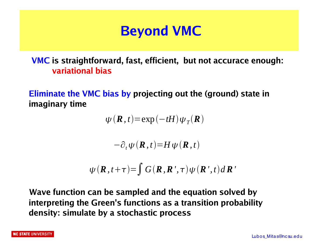### **Beyond VMC**

**VMC is straightforward, fast, efficient, but not accurace enough: variational bias**

**Eliminate the VMC bias by projecting out the (ground) state in imaginary time**

 $\psi$  (**R**, *t*)=exp(-*tH*) $\psi_T$ (**R**)

 $-\partial_t \psi(\mathbf{R},t) = H \psi(\mathbf{R},t)$ 

$$
\psi(\boldsymbol{R},t+\tau) = \int G(\boldsymbol{R},\boldsymbol{R}^{\prime},\tau)\psi(\boldsymbol{R}^{\prime},t)d\boldsymbol{R}^{\prime}
$$

**Wave function can be sampled and the equation solved by interpreting the Green's functions as a transition probability density: simulate by a stochastic process**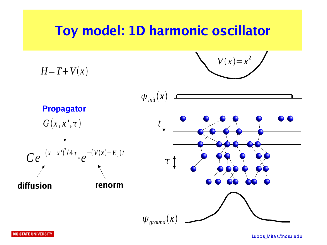#### **Toy model: 1D harmonic oscillator**





Lubos Mitas@nc su.edu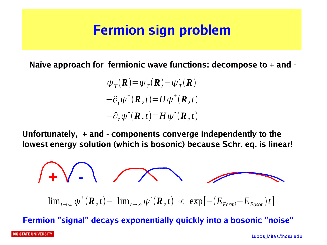#### **Fermion sign problem**

**Naïve approach for fermionic wave functions: decompose to + and -**

 $\psi_T$ **(***R*) =  $\psi_T^+$ **(***R***) –**  $\psi_T^-$ **<b>(***R*)  $-\partial_t \psi^+({\bf R},t) = H \psi^+({\bf R},t)$  $-\partial_t \psi^{-1}(\mathbf{R}, t) = H \psi^{-1}(\mathbf{R}, t)$ 

**Unfortunately, + and - components converge independently to the lowest energy solution (which is bosonic) because Schr. eq. is linear!**

$$
\int \prod_{t \to \infty} \sqrt{1 - \sum_{t \to \infty} \psi^+(R, t) - \lim_{t \to \infty} \psi^-(R, t)} \propto \exp[-(E_{Fermi} - E_{Boson})t]
$$

**Fermion "signal" decays exponentially quickly into a bosonic "noise"**

#### **NC STATE UNIVERSITY**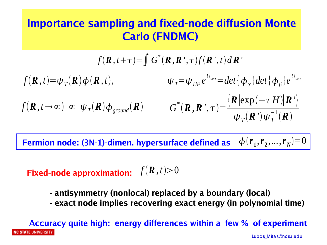#### **Importance sampling and fixed-node diffusion Monte Carlo (FNDMC)**

$$
f(\mathbf{R}, t+\tau) = \int G^*(\mathbf{R}, \mathbf{R}', \tau) f(\mathbf{R}', t) d\mathbf{R}'
$$
  

$$
f(\mathbf{R}, t) = \psi_T(\mathbf{R}) \phi(\mathbf{R}, t), \qquad \psi_T = \psi_{HF} e^{U_{corr}} = det \{\phi_\alpha\} det \{\phi_\beta\} e^{U_{corr}}
$$
  

$$
f(\mathbf{R}, t \to \infty) \propto \psi_T(\mathbf{R}) \phi_{ground}(\mathbf{R}) \qquad G^*(\mathbf{R}, \mathbf{R}', \tau) = \frac{\langle \mathbf{R} |\exp(-\tau H)| \mathbf{R}' \rangle}{\psi_T(\mathbf{R}') \psi_T^{-1}(\mathbf{R})}
$$

Fermion node: (3N-1)-dimen. hypersurface defined as  $\phi\left(r_{1},r_{2},...,r_{N}\right)\text{=}0$ 

#### **Fixed-node approximation:**  $f(\mathbf{R}, t) > 0$

- **antisymmetry (nonlocal) replaced by a boundary (local)**
- **exact node implies recovering exact energy (in polynomial time)**

**Accuracy quite high: energy differences within a few % of experiment IC STATE UNIVERSITY** Lubos\_Mitas@nc su.edu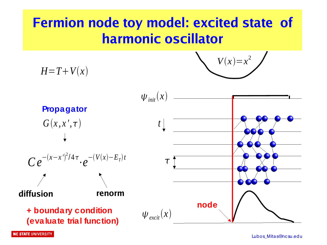### **Fermion node toy model: excited state of harmonic oscillator**

$$
V(x)=x^2
$$

 $H=T+V(x)$ 

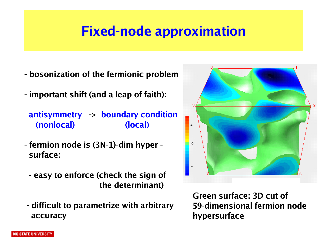## **Fixed-node approximation**

- **bosonization of the fermionic problem**
- **important shift (and a leap of faith):**

**antisymmetry -> boundary condition (nonlocal) (local)**

- **fermion node is (3N-1)-dim hyper surface:**
	- **easy to enforce (check the sign of the determinant)**
- **difficult to parametrize with arbitrary accuracy**

**Green surface: 3D cut of 59-dimensional fermion node hypersurface**

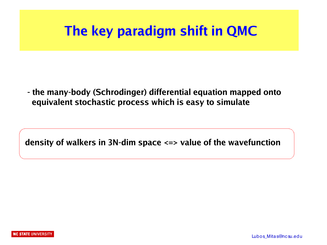### **The key paradigm shift in QMC**

**- the many-body (Schrodinger) differential equation mapped onto equivalent stochastic process which is easy to simulate**

**density of walkers in 3N-dim space <=> value of the wavefunction**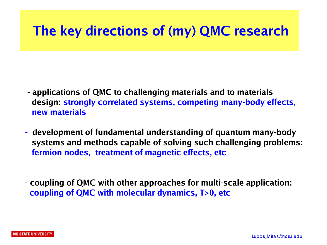### **The key directions of (my) QMC research**

- **applications of QMC to challenging materials and to materials design: strongly correlated systems, competing many-body effects, new materials**
- **development of fundamental understanding of quantum many-body systems and methods capable of solving such challenging problems: fermion nodes, treatment of magnetic effects, etc**
- **- coupling of QMC with other approaches for multi-scale application: coupling of QMC with molecular dynamics, T>0, etc**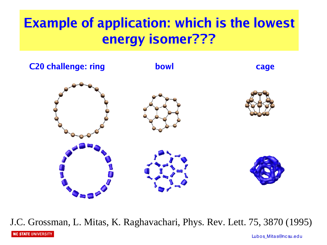# **Example of application: which is the lowest energy isomer???**



J.C. Grossman, L. Mitas, K. Raghavachari, Phys. Rev. Lett. 75, 3870 (1995)

**NC STATE UNIVERSITY** 

Lubos\_Mitas@nc su.edu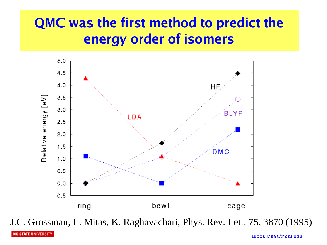# **QMC was the first method to predict the energy order of isomers**



J.C. Grossman, L. Mitas, K. Raghavachari, Phys. Rev. Lett. 75, 3870 (1995)

Lubos Mitas@nc su.edu

**NC STATE UNIVERSITY**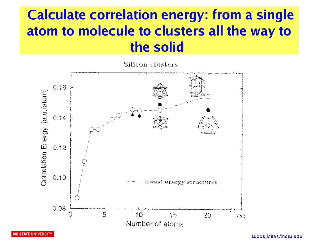# **Calculate correlation energy: from a single atom to molecule to clusters all the way to the solid**

Silicon clusters



**NC STATE UNIVERSITY** 

Lubos Mitas@nc su.edu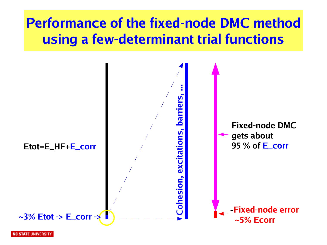# **Performance of the fixed-node DMC method using a few-determinant trial functions**

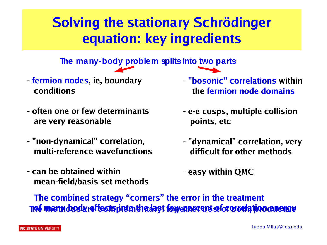# **Solving the stationary Schrödinger equation: key ingredients**

**The many-body problem splits into two parts**

- **- fermion nodes, ie, boundary conditions**
- **often one or few determinants are very reasonable**
- **"non-dynamical" correlation, multi-reference wavefunctions**
- **can be obtained within mean-field/basis set methods**
- **- "bosonic" correlations within the fermion node domains**
- **- e-e cusps, multiple collision points, etc**
- **- "dynamical" correlation, very difficult for other methods**
- **- easy within QMC**

<u>Thé mærkdosla reffectspirt in thedast folyenner ent seforoverk tjoldenerige</u> **The combined strategy "corners" the error in the treatment**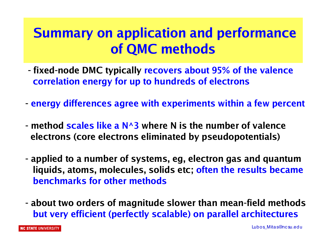### **Summary on application and performance of QMC methods**

- **fixed-node DMC typically recovers about 95% of the valence correlation energy for up to hundreds of electrons**
- **energy differences agree with experiments within a few percent**
- **method scales like a N^3 where N is the number of valence electrons (core electrons eliminated by pseudopotentials)**
- **applied to a number of systems, eg, electron gas and quantum liquids, atoms, molecules, solids etc; often the results became benchmarks for other methods**
- **about two orders of magnitude slower than mean-field methods but very efficient (perfectly scalable) on parallel architectures**

NC STATE UNIVERSITY

Lubos\_Mitas@nc su.edu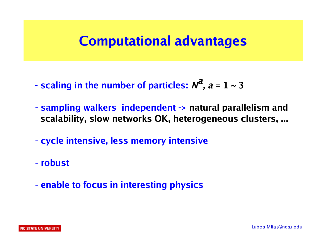#### **Computational advantages**

- **scaling in the number of particles: N a** ,  $a = 1 \sim 3$
- **sampling walkers independent -> natural parallelism and scalability, slow networks OK, heterogeneous clusters, ...**
- **cycle intensive, less memory intensive**
- **robust**
- **enable to focus in interesting physics**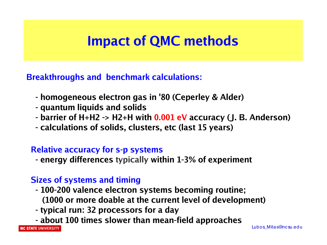#### **Impact of QMC methods**

**Breakthroughs and benchmark calculations:**

- **homogeneous electron gas in '80 (Ceperley & Alder)**
- **quantum liquids and solids**
- **barrier of H+H2 -> H2+H with 0.001 eV accuracy (J. B. Anderson)**
- **calculations of solids, clusters, etc (last 15 years)**

#### **Relative accuracy for s-p systems**

 **- energy differences typically within 1-3% of experiment** 

#### **Sizes of systems and timing**

- **100-200 valence electron systems becoming routine; (1000 or more doable at the current level of development)**
- **typical run: 32 processors for a day**
- **about 100 times slower than mean-field approaches**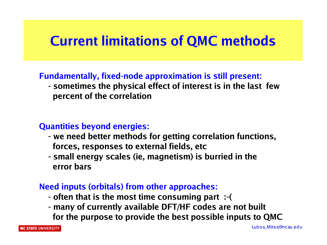#### **Current limitations of QMC methods**

#### **Fundamentally, fixed-node approximation is still present:**

 **- sometimes the physical effect of interest is in the last few percent of the correlation**

#### **Quantities beyond energies:**

- **we need better methods for getting correlation functions, forces, responses to external fields, etc**
- **small energy scales (ie, magnetism) is burried in the error bars**

#### **Need inputs (orbitals) from other approaches:**

- **often that is the most time consuming part :-(**
- **many of currently available DFT/HF codes are not built for the purpose to provide the best possible inputs to QMC**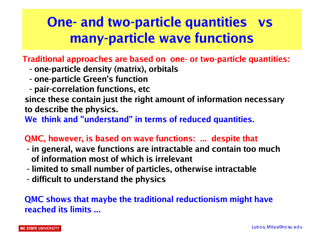# **One- and two-particle quantities vs many-particle wave functions**

**Traditional approaches are based on one- or two-particle quantities:**

- **one-particle density (matrix), orbitals**
- **one-particle Green's function**
- **pair-correlation functions, etc**

**since these contain just the right amount of information necessary to describe the physics.** 

**We think and "understand" in terms of reduced quantities.**

#### **QMC, however, is based on wave functions: ... despite that**

- **- in general, wave functions are intractable and contain too much of information most of which is irrelevant**
- **- limited to small number of particles, otherwise intractable**
- **- difficult to understand the physics**

#### **QMC shows that maybe the traditional reductionism might have reached its limits ...**